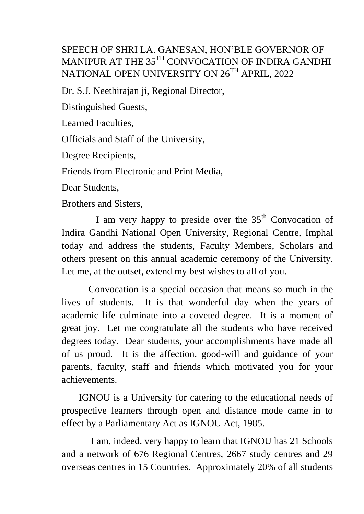## SPEECH OF SHRI LA. GANESAN, HON'BLE GOVERNOR OF MANIPUR AT THE 35<sup>TH</sup> CONVOCATION OF INDIRA GANDHI NATIONAL OPEN UNIVERSITY ON 26<sup>TH</sup> APRIL, 2022

Dr. S.J. Neethirajan ji, Regional Director,

Distinguished Guests,

Learned Faculties,

Officials and Staff of the University,

Degree Recipients,

Friends from Electronic and Print Media,

Dear Students,

Brothers and Sisters,

I am very happy to preside over the  $35<sup>th</sup>$  Convocation of Indira Gandhi National Open University, Regional Centre, Imphal today and address the students, Faculty Members, Scholars and others present on this annual academic ceremony of the University. Let me, at the outset, extend my best wishes to all of you.

 Convocation is a special occasion that means so much in the lives of students. It is that wonderful day when the years of academic life culminate into a coveted degree. It is a moment of great joy. Let me congratulate all the students who have received degrees today. Dear students, your accomplishments have made all of us proud. It is the affection, good-will and guidance of your parents, faculty, staff and friends which motivated you for your achievements.

 IGNOU is a University for catering to the educational needs of prospective learners through open and distance mode came in to effect by a Parliamentary Act as IGNOU Act, 1985.

 I am, indeed, very happy to learn that IGNOU has 21 Schools and a network of 676 Regional Centres, 2667 study centres and 29 overseas centres in 15 Countries. Approximately 20% of all students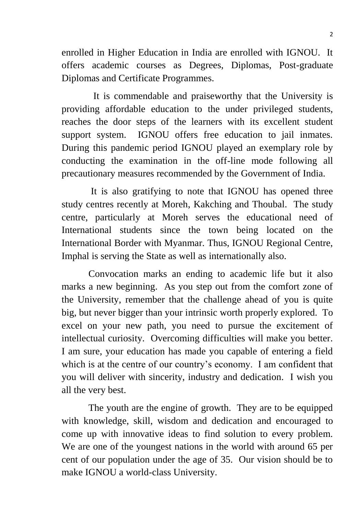enrolled in Higher Education in India are enrolled with IGNOU. It offers academic courses as Degrees, Diplomas, Post-graduate Diplomas and Certificate Programmes.

 It is commendable and praiseworthy that the University is providing affordable education to the under privileged students, reaches the door steps of the learners with its excellent student support system. IGNOU offers free education to jail inmates. During this pandemic period IGNOU played an exemplary role by conducting the examination in the off-line mode following all precautionary measures recommended by the Government of India.

 It is also gratifying to note that IGNOU has opened three study centres recently at Moreh, Kakching and Thoubal. The study centre, particularly at Moreh serves the educational need of International students since the town being located on the International Border with Myanmar. Thus, IGNOU Regional Centre, Imphal is serving the State as well as internationally also.

 Convocation marks an ending to academic life but it also marks a new beginning. As you step out from the comfort zone of the University, remember that the challenge ahead of you is quite big, but never bigger than your intrinsic worth properly explored. To excel on your new path, you need to pursue the excitement of intellectual curiosity. Overcoming difficulties will make you better. I am sure, your education has made you capable of entering a field which is at the centre of our country's economy. I am confident that you will deliver with sincerity, industry and dedication. I wish you all the very best.

 The youth are the engine of growth. They are to be equipped with knowledge, skill, wisdom and dedication and encouraged to come up with innovative ideas to find solution to every problem. We are one of the youngest nations in the world with around 65 per cent of our population under the age of 35. Our vision should be to make IGNOU a world-class University.